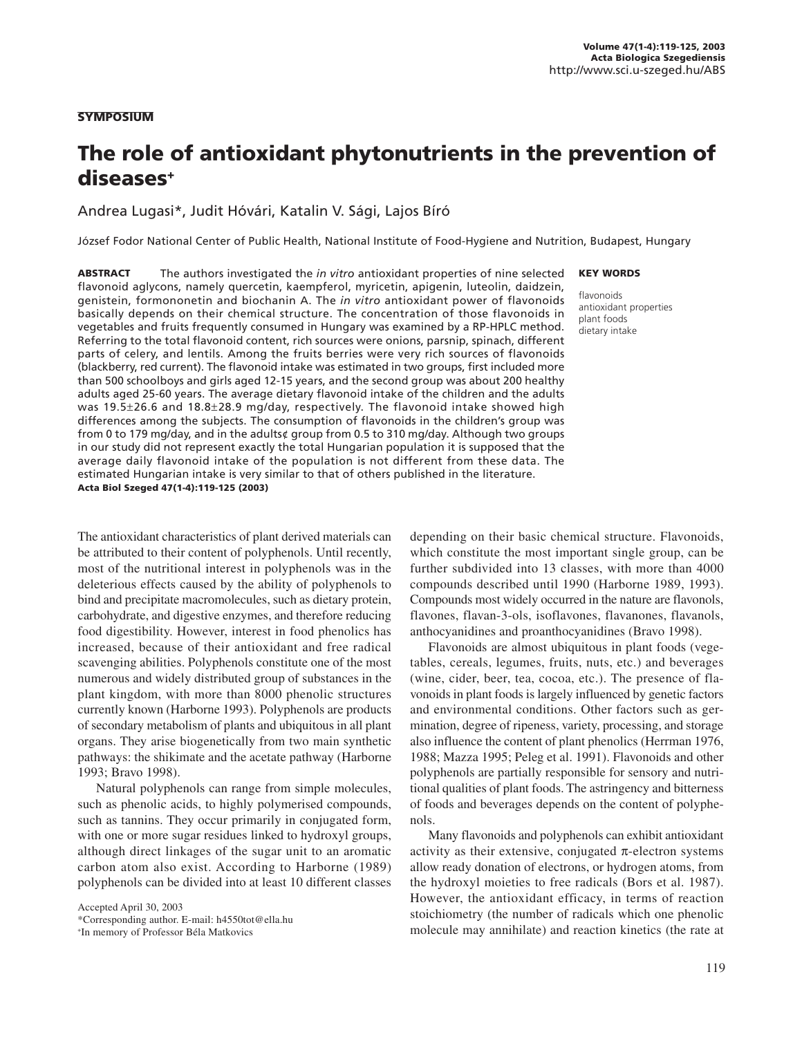#### SYMPOSIUM

# The role of antioxidant phytonutrients in the prevention of diseases+

Andrea Lugasi\*, Judit Hóvári, Katalin V. Sági, Lajos Bíró

József Fodor National Center of Public Health, National Institute of Food-Hygiene and Nutrition, Budapest, Hungary

ABSTRACT The authors investigated the *in vitro* antioxidant properties of nine selected flavonoid aglycons, namely quercetin, kaempferol, myricetin, apigenin, luteolin, daidzein, genistein, formononetin and biochanin A. The *in vitro* antioxidant power of flavonoids basically depends on their chemical structure. The concentration of those flavonoids in vegetables and fruits frequently consumed in Hungary was examined by a RP-HPLC method. Referring to the total flavonoid content, rich sources were onions, parsnip, spinach, different parts of celery, and lentils. Among the fruits berries were very rich sources of flavonoids (blackberry, red current). The flavonoid intake was estimated in two groups, first included more than 500 schoolboys and girls aged 12-15 years, and the second group was about 200 healthy adults aged 25-60 years. The average dietary flavonoid intake of the children and the adults was 19.5±26.6 and 18.8±28.9 mg/day, respectively. The flavonoid intake showed high differences among the subjects. The consumption of flavonoids in the children's group was from 0 to 179 mg/day, and in the adults¢ group from 0.5 to 310 mg/day. Although two groups in our study did not represent exactly the total Hungarian population it is supposed that the average daily flavonoid intake of the population is not different from these data. The estimated Hungarian intake is very similar to that of others published in the literature. Acta Biol Szeged 47(1-4):119-125 (2003)

The antioxidant characteristics of plant derived materials can be attributed to their content of polyphenols. Until recently, most of the nutritional interest in polyphenols was in the deleterious effects caused by the ability of polyphenols to bind and precipitate macromolecules, such as dietary protein, carbohydrate, and digestive enzymes, and therefore reducing food digestibility. However, interest in food phenolics has increased, because of their antioxidant and free radical scavenging abilities. Polyphenols constitute one of the most numerous and widely distributed group of substances in the plant kingdom, with more than 8000 phenolic structures currently known (Harborne 1993). Polyphenols are products of secondary metabolism of plants and ubiquitous in all plant organs. They arise biogenetically from two main synthetic pathways: the shikimate and the acetate pathway (Harborne 1993; Bravo 1998).

Natural polyphenols can range from simple molecules, such as phenolic acids, to highly polymerised compounds, such as tannins. They occur primarily in conjugated form, with one or more sugar residues linked to hydroxyl groups, although direct linkages of the sugar unit to an aromatic carbon atom also exist. According to Harborne (1989) polyphenols can be divided into at least 10 different classes

Accepted April 30, 2003 \*Corresponding author. E-mail: h4550tot@ella.hu

+ In memory of Professor Béla Matkovics

#### KEY WORDS

flavonoids antioxidant properties plant foods dietary intake

depending on their basic chemical structure. Flavonoids, which constitute the most important single group, can be further subdivided into 13 classes, with more than 4000 compounds described until 1990 (Harborne 1989, 1993). Compounds most widely occurred in the nature are flavonols, flavones, flavan-3-ols, isoflavones, flavanones, flavanols, anthocyanidines and proanthocyanidines (Bravo 1998).

Flavonoids are almost ubiquitous in plant foods (vegetables, cereals, legumes, fruits, nuts, etc.) and beverages (wine, cider, beer, tea, cocoa, etc.). The presence of flavonoids in plant foods is largely influenced by genetic factors and environmental conditions. Other factors such as germination, degree of ripeness, variety, processing, and storage also influence the content of plant phenolics (Herrman 1976, 1988; Mazza 1995; Peleg et al. 1991). Flavonoids and other polyphenols are partially responsible for sensory and nutritional qualities of plant foods. The astringency and bitterness of foods and beverages depends on the content of polyphenols.

Many flavonoids and polyphenols can exhibit antioxidant activity as their extensive, conjugated  $\pi$ -electron systems allow ready donation of electrons, or hydrogen atoms, from the hydroxyl moieties to free radicals (Bors et al. 1987). However, the antioxidant efficacy, in terms of reaction stoichiometry (the number of radicals which one phenolic molecule may annihilate) and reaction kinetics (the rate at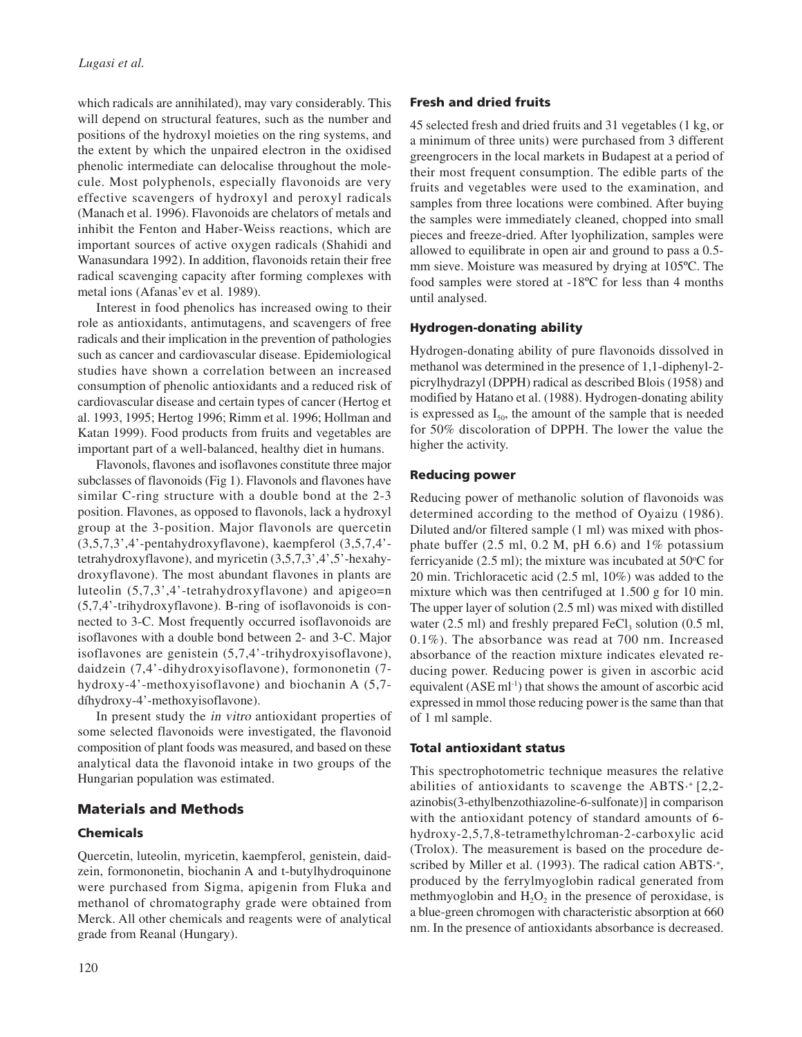which radicals are annihilated), may vary considerably. This will depend on structural features, such as the number and positions of the hydroxyl moieties on the ring systems, and the extent by which the unpaired electron in the oxidised phenolic intermediate can delocalise throughout the molecule. Most polyphenols, especially flavonoids are very effective scavengers of hydroxyl and peroxyl radicals (Manach et al. 1996). Flavonoids are chelators of metals and inhibit the Fenton and Haber-Weiss reactions, which are important sources of active oxygen radicals (Shahidi and Wanasundara 1992). In addition, flavonoids retain their free radical scavenging capacity after forming complexes with metal ions (Afanas'ev et al. 1989).

Interest in food phenolics has increased owing to their role as antioxidants, antimutagens, and scavengers of free radicals and their implication in the prevention of pathologies such as cancer and cardiovascular disease. Epidemiological studies have shown a correlation between an increased consumption of phenolic antioxidants and a reduced risk of cardiovascular disease and certain types of cancer (Hertog et al. 1993, 1995; Hertog 1996; Rimm et al. 1996; Hollman and Katan 1999). Food products from fruits and vegetables are important part of a well-balanced, healthy diet in humans.

Flavonols, flavones and isoflavones constitute three major subclasses of flavonoids (Fig 1). Flavonols and flavones have similar C-ring structure with a double bond at the 2-3 position. Flavones, as opposed to flavonols, lack a hydroxyl group at the 3-position. Major flavonols are quercetin (3,5,7,3',4'-pentahydroxyflavone), kaempferol (3,5,7,4' tetrahydroxyflavone), and myricetin (3,5,7,3',4',5'-hexahydroxyflavone). The most abundant flavones in plants are luteolin (5,7,3',4'-tetrahydroxyflavone) and apigeo=n (5,7,4'-trihydroxyflavone). B-ring of isoflavonoids is connected to 3-C. Most frequently occurred isoflavonoids are isoflavones with a double bond between 2- and 3-C. Major isoflavones are genistein (5,7,4'-trihydroxyisoflavone), daidzein (7,4'-dihydroxyisoflavone), formononetin (7 hydroxy-4'-methoxyisoflavone) and biochanin A (5,7 díhydroxy-4'-methoxyisoflavone).

In present study the in vitro antioxidant properties of some selected flavonoids were investigated, the flavonoid composition of plant foods was measured, and based on these analytical data the flavonoid intake in two groups of the Hungarian population was estimated.

# Materials and Methods

# Chemicals

Quercetin, luteolin, myricetin, kaempferol, genistein, daidzein, formononetin, biochanin A and t-butylhydroquinone were purchased from Sigma, apigenin from Fluka and methanol of chromatography grade were obtained from Merck. All other chemicals and reagents were of analytical grade from Reanal (Hungary).

# Fresh and dried fruits

45 selected fresh and dried fruits and 31 vegetables (1 kg, or a minimum of three units) were purchased from 3 different greengrocers in the local markets in Budapest at a period of their most frequent consumption. The edible parts of the fruits and vegetables were used to the examination, and samples from three locations were combined. After buying the samples were immediately cleaned, chopped into small pieces and freeze-dried. After lyophilization, samples were allowed to equilibrate in open air and ground to pass a 0.5 mm sieve. Moisture was measured by drying at 105ºC. The food samples were stored at -18ºC for less than 4 months until analysed.

# Hydrogen-donating ability

Hydrogen-donating ability of pure flavonoids dissolved in methanol was determined in the presence of 1,1-diphenyl-2 picrylhydrazyl (DPPH) radical as described Blois (1958) and modified by Hatano et al. (1988). Hydrogen-donating ability is expressed as  $I_{50}$ , the amount of the sample that is needed for 50% discoloration of DPPH. The lower the value the higher the activity.

# Reducing power

Reducing power of methanolic solution of flavonoids was determined according to the method of Oyaizu (1986). Diluted and/or filtered sample (1 ml) was mixed with phosphate buffer  $(2.5 \text{ ml}, 0.2 \text{ M}, \text{pH } 6.6)$  and  $1\%$  potassium ferricyanide  $(2.5 \text{ ml})$ ; the mixture was incubated at  $50^{\circ}$ C for 20 min. Trichloracetic acid (2.5 ml, 10%) was added to the mixture which was then centrifuged at 1.500 g for 10 min. The upper layer of solution (2.5 ml) was mixed with distilled water (2.5 ml) and freshly prepared  $FeCl<sub>3</sub>$  solution (0.5 ml, 0.1%). The absorbance was read at 700 nm. Increased absorbance of the reaction mixture indicates elevated reducing power. Reducing power is given in ascorbic acid equivalent  $(ASE \, ml^{-1})$  that shows the amount of ascorbic acid expressed in mmol those reducing power is the same than that of 1 ml sample.

#### Total antioxidant status

This spectrophotometric technique measures the relative abilities of antioxidants to scavenge the ABTS·+ [2,2 azinobis(3-ethylbenzothiazoline-6-sulfonate)] in comparison with the antioxidant potency of standard amounts of 6 hydroxy-2,5,7,8-tetramethylchroman-2-carboxylic acid (Trolox). The measurement is based on the procedure described by Miller et al. (1993). The radical cation ABTS.<sup>+</sup>, produced by the ferrylmyoglobin radical generated from methmyoglobin and  $H_2O_2$  in the presence of peroxidase, is a blue-green chromogen with characteristic absorption at 660 nm. In the presence of antioxidants absorbance is decreased.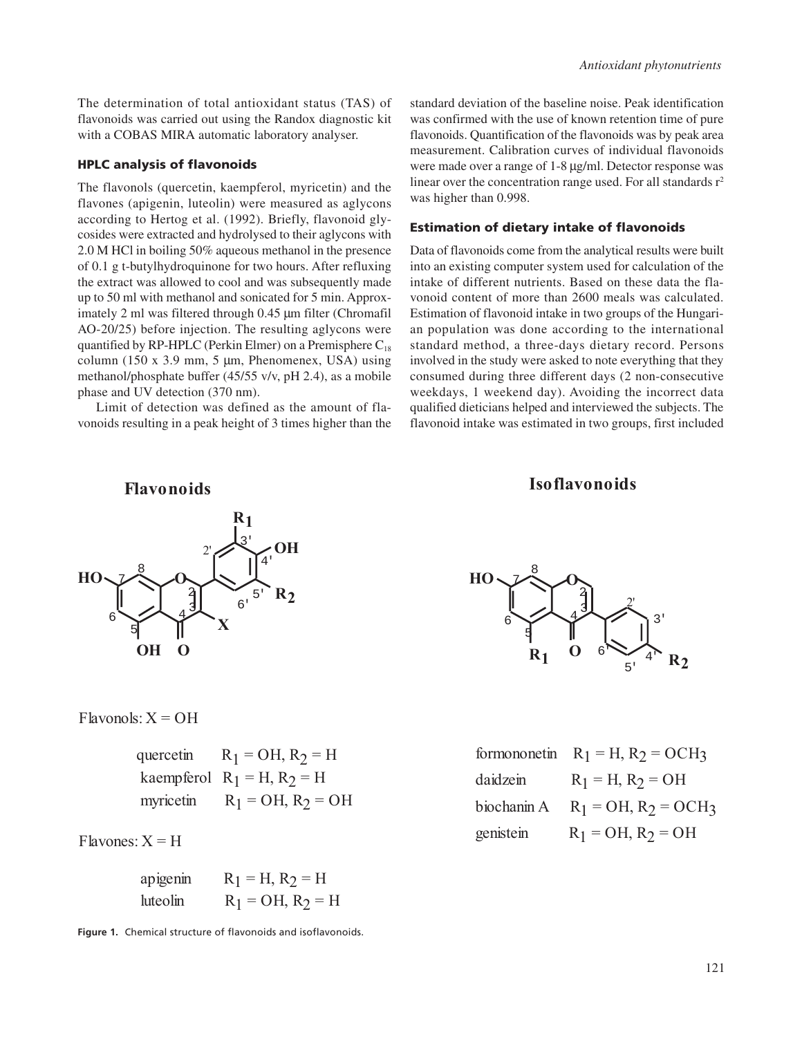The determination of total antioxidant status (TAS) of flavonoids was carried out using the Randox diagnostic kit with a COBAS MIRA automatic laboratory analyser.

#### HPLC analysis of flavonoids

The flavonols (quercetin, kaempferol, myricetin) and the flavones (apigenin, luteolin) were measured as aglycons according to Hertog et al. (1992). Briefly, flavonoid glycosides were extracted and hydrolysed to their aglycons with 2.0 M HCl in boiling 50% aqueous methanol in the presence of 0.1 g t-butylhydroquinone for two hours. After refluxing the extract was allowed to cool and was subsequently made up to 50 ml with methanol and sonicated for 5 min. Approximately 2 ml was filtered through 0.45 µm filter (Chromafil AO-20/25) before injection. The resulting aglycons were quantified by RP-HPLC (Perkin Elmer) on a Premisphere  $C_{18}$ column (150 x 3.9 mm, 5  $\mu$ m, Phenomenex, USA) using methanol/phosphate buffer (45/55 v/v, pH 2.4), as a mobile phase and UV detection (370 nm).

Limit of detection was defined as the amount of flavonoids resulting in a peak height of 3 times higher than the standard deviation of the baseline noise. Peak identification was confirmed with the use of known retention time of pure flavonoids. Quantification of the flavonoids was by peak area measurement. Calibration curves of individual flavonoids were made over a range of 1-8 µg/ml. Detector response was linear over the concentration range used. For all standards  $r^2$ was higher than 0.998.

# Estimation of dietary intake of flavonoids

Data of flavonoids come from the analytical results were built into an existing computer system used for calculation of the intake of different nutrients. Based on these data the flavonoid content of more than 2600 meals was calculated. Estimation of flavonoid intake in two groups of the Hungarian population was done according to the international standard method, a three-days dietary record. Persons involved in the study were asked to note everything that they consumed during three different days (2 non-consecutive weekdays, 1 weekend day). Avoiding the incorrect data qualified dieticians helped and interviewed the subjects. The flavonoid intake was estimated in two groups, first included

# **Flavonoids Iso flavonoids**



 $Flavonols: X = OH$ 

|           | quercetin $R_1 = OH$ , $R_2 = H$ |
|-----------|----------------------------------|
|           | kaempferol $R_1 = H$ , $R_2 = H$ |
| myricetin | $R_1 = OH$ , $R_2 = OH$          |

 $Flavones: X = H$ 

| apigenin | $R_1 = H, R_2 = H$  |
|----------|---------------------|
| huteolin | $R_1 = OH, R_2 = H$ |

**Figure 1.** Chemical structure of flavonoids and isoflavonoids.



|             | formononetin $R_1 = H$ , $R_2 = OCH_3$ |
|-------------|----------------------------------------|
| daidzein    | $R_1 = H, R_2 = OH$                    |
| biochanin A | $R_1 = OH$ , $R_2 = OCH_3$             |
| genistein   | $R_1 = OH, R_2 = OH$                   |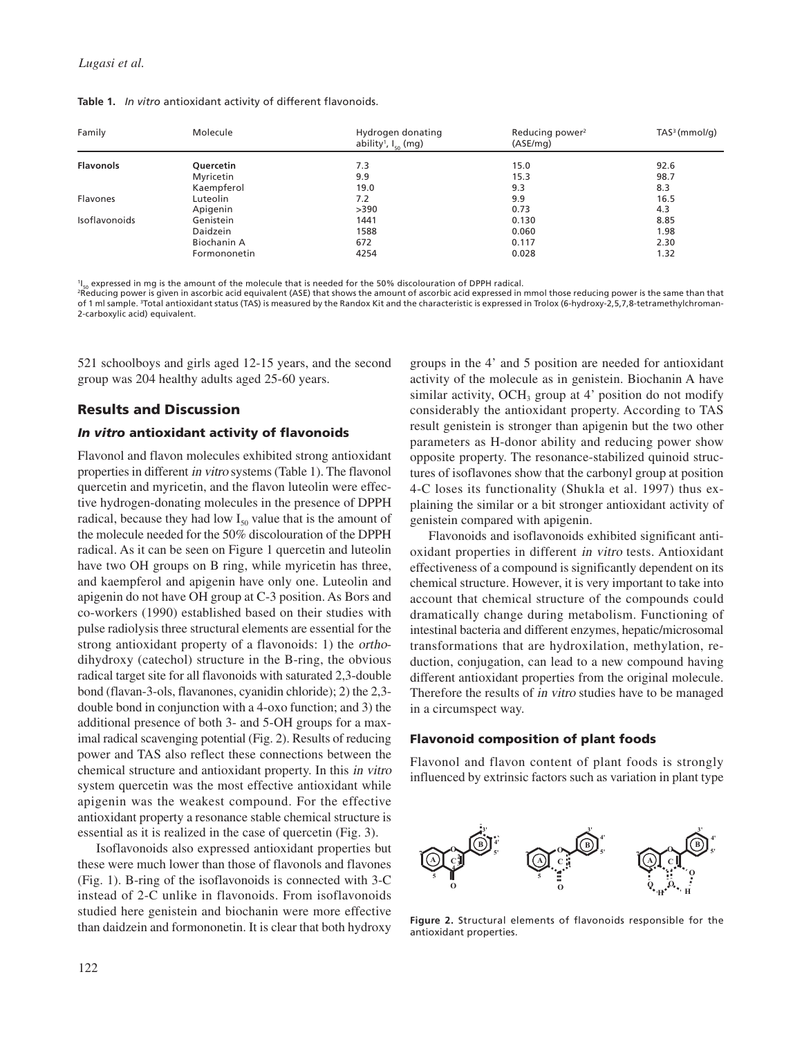|  |  | Table 1. In vitro antioxidant activity of different flavonoids. |  |  |  |
|--|--|-----------------------------------------------------------------|--|--|--|
|--|--|-----------------------------------------------------------------|--|--|--|

| Family           | Molecule        | Hydrogen donating<br>ability <sup>1</sup> , $I_{50}$ (mg) | Reducing power <sup>2</sup><br>(ASE/mg) | $TAS3$ (mmol/g) |
|------------------|-----------------|-----------------------------------------------------------|-----------------------------------------|-----------------|
| <b>Flavonols</b> | Quercetin       | 7.3                                                       | 15.0                                    | 92.6            |
|                  | Myricetin       | 9.9                                                       | 15.3                                    | 98.7            |
|                  | Kaempferol      | 19.0                                                      | 9.3                                     | 8.3             |
| Flavones         | Luteolin        | 7.2                                                       | 9.9                                     | 16.5            |
|                  | Apigenin        | >390                                                      | 0.73                                    | 4.3             |
| Isoflavonoids    | Genistein       | 1441                                                      | 0.130                                   | 8.85            |
|                  | <b>Daidzein</b> | 1588                                                      | 0.060                                   | 1.98            |
|                  | Biochanin A     | 672                                                       | 0.117                                   | 2.30            |
|                  | Formononetin    | 4254                                                      | 0.028                                   | 1.32            |

<sup>1</sup>I<sub>co</sub> expressed in mg is the amount of the molecule that is needed for the 50% discolouration of DPPH radical.

<sup>2</sup>Reducing power is given in ascorbic acid equivalent (ASE) that shows the amount of ascorbic acid expressed in mmol those reducing power is the same than that of 1 ml sample. 3Total antioxidant status (TAS) is measured by the Randox Kit and the characteristic is expressed in Trolox (6-hydroxy-2,5,7,8-tetramethylchroman-2-carboxylic acid) equivalent.

521 schoolboys and girls aged 12-15 years, and the second group was 204 healthy adults aged 25-60 years.

# Results and Discussion

# In vitro antioxidant activity of flavonoids

Flavonol and flavon molecules exhibited strong antioxidant properties in different in vitro systems (Table 1). The flavonol quercetin and myricetin, and the flavon luteolin were effective hydrogen-donating molecules in the presence of DPPH radical, because they had low  $I_{50}$  value that is the amount of the molecule needed for the 50% discolouration of the DPPH radical. As it can be seen on Figure 1 quercetin and luteolin have two OH groups on B ring, while myricetin has three, and kaempferol and apigenin have only one. Luteolin and apigenin do not have OH group at C-3 position. As Bors and co-workers (1990) established based on their studies with pulse radiolysis three structural elements are essential for the strong antioxidant property of a flavonoids: 1) the orthodihydroxy (catechol) structure in the B-ring, the obvious radical target site for all flavonoids with saturated 2,3-double bond (flavan-3-ols, flavanones, cyanidin chloride); 2) the 2,3 double bond in conjunction with a 4-oxo function; and 3) the additional presence of both 3- and 5-OH groups for a maximal radical scavenging potential (Fig. 2). Results of reducing power and TAS also reflect these connections between the chemical structure and antioxidant property. In this in vitro system quercetin was the most effective antioxidant while apigenin was the weakest compound. For the effective antioxidant property a resonance stable chemical structure is essential as it is realized in the case of quercetin (Fig. 3).

Isoflavonoids also expressed antioxidant properties but these were much lower than those of flavonols and flavones (Fig. 1). B-ring of the isoflavonoids is connected with 3-C instead of 2-C unlike in flavonoids. From isoflavonoids studied here genistein and biochanin were more effective than daidzein and formononetin. It is clear that both hydroxy

groups in the 4' and 5 position are needed for antioxidant activity of the molecule as in genistein. Biochanin A have similar activity, OCH<sub>3</sub> group at  $4'$  position do not modify considerably the antioxidant property. According to TAS result genistein is stronger than apigenin but the two other parameters as H-donor ability and reducing power show opposite property. The resonance-stabilized quinoid structures of isoflavones show that the carbonyl group at position 4-C loses its functionality (Shukla et al. 1997) thus explaining the similar or a bit stronger antioxidant activity of genistein compared with apigenin.

Flavonoids and isoflavonoids exhibited significant antioxidant properties in different in vitro tests. Antioxidant effectiveness of a compound is significantly dependent on its chemical structure. However, it is very important to take into account that chemical structure of the compounds could dramatically change during metabolism. Functioning of intestinal bacteria and different enzymes, hepatic/microsomal transformations that are hydroxilation, methylation, reduction, conjugation, can lead to a new compound having different antioxidant properties from the original molecule. Therefore the results of in vitro studies have to be managed in a circumspect way.

# Flavonoid composition of plant foods

Flavonol and flavon content of plant foods is strongly influenced by extrinsic factors such as variation in plant type



**Figure 2.** Structural elements of flavonoids responsible for the antioxidant properties.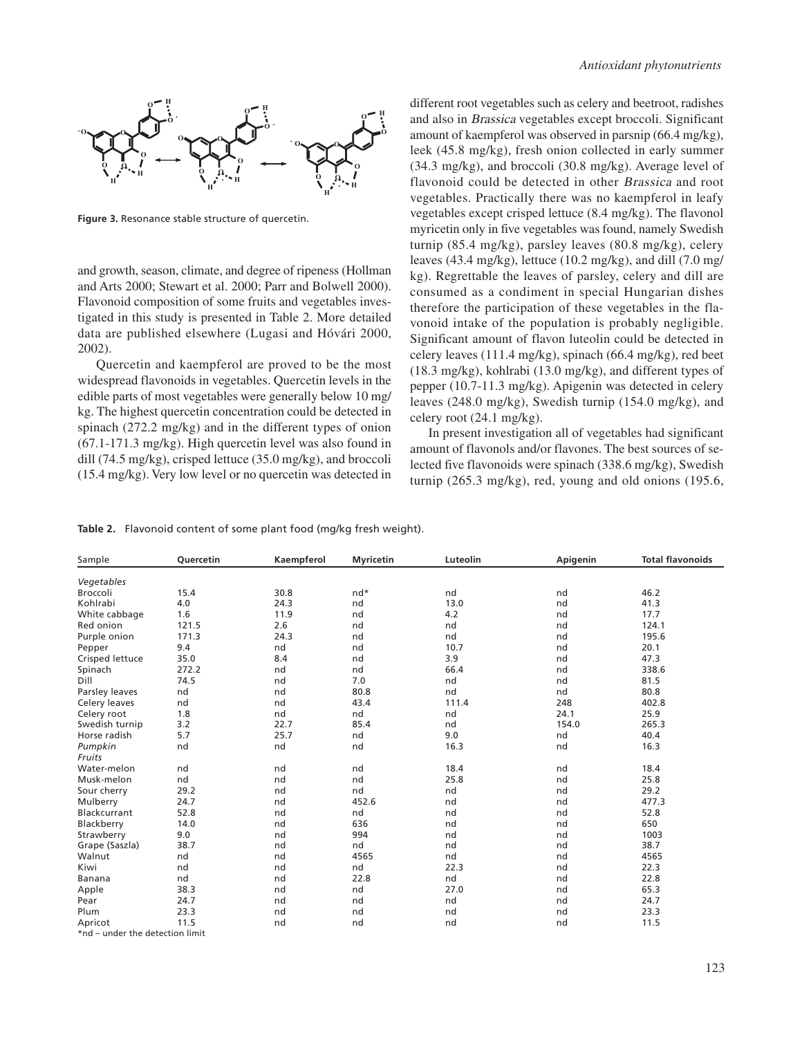

**Figure 3.** Resonance stable structure of quercetin.

and growth, season, climate, and degree of ripeness (Hollman and Arts 2000; Stewart et al. 2000; Parr and Bolwell 2000). Flavonoid composition of some fruits and vegetables investigated in this study is presented in Table 2. More detailed data are published elsewhere (Lugasi and Hóvári 2000, 2002).

Quercetin and kaempferol are proved to be the most widespread flavonoids in vegetables. Quercetin levels in the edible parts of most vegetables were generally below 10 mg/ kg. The highest quercetin concentration could be detected in spinach (272.2 mg/kg) and in the different types of onion (67.1-171.3 mg/kg). High quercetin level was also found in dill (74.5 mg/kg), crisped lettuce (35.0 mg/kg), and broccoli (15.4 mg/kg). Very low level or no quercetin was detected in different root vegetables such as celery and beetroot, radishes and also in Brassica vegetables except broccoli. Significant amount of kaempferol was observed in parsnip (66.4 mg/kg), leek (45.8 mg/kg), fresh onion collected in early summer (34.3 mg/kg), and broccoli (30.8 mg/kg). Average level of flavonoid could be detected in other Brassica and root vegetables. Practically there was no kaempferol in leafy vegetables except crisped lettuce (8.4 mg/kg). The flavonol myricetin only in five vegetables was found, namely Swedish turnip (85.4 mg/kg), parsley leaves (80.8 mg/kg), celery leaves (43.4 mg/kg), lettuce (10.2 mg/kg), and dill (7.0 mg/ kg). Regrettable the leaves of parsley, celery and dill are consumed as a condiment in special Hungarian dishes therefore the participation of these vegetables in the flavonoid intake of the population is probably negligible. Significant amount of flavon luteolin could be detected in celery leaves (111.4 mg/kg), spinach (66.4 mg/kg), red beet (18.3 mg/kg), kohlrabi (13.0 mg/kg), and different types of pepper (10.7-11.3 mg/kg). Apigenin was detected in celery leaves (248.0 mg/kg), Swedish turnip (154.0 mg/kg), and celery root (24.1 mg/kg).

In present investigation all of vegetables had significant amount of flavonols and/or flavones. The best sources of selected five flavonoids were spinach (338.6 mg/kg), Swedish turnip (265.3 mg/kg), red, young and old onions (195.6,

**Table 2.** Flavonoid content of some plant food (mg/kg fresh weight).

| Sample                          | Quercetin | Kaempferol | <b>Myricetin</b> | Luteolin | Apigenin | <b>Total flavonoids</b> |
|---------------------------------|-----------|------------|------------------|----------|----------|-------------------------|
| Vegetables                      |           |            |                  |          |          |                         |
| Broccoli                        | 15.4      | 30.8       | $nd*$            | nd       | nd       | 46.2                    |
| Kohlrabi                        | 4.0       | 24.3       | nd               | 13.0     | nd       | 41.3                    |
| White cabbage                   | 1.6       | 11.9       | nd               | 4.2      | nd       | 17.7                    |
| Red onion                       | 121.5     | 2.6        | nd               | nd       | nd       | 124.1                   |
| Purple onion                    | 171.3     | 24.3       | nd               | nd       | nd       | 195.6                   |
| Pepper                          | 9.4       | nd         | nd               | 10.7     | nd       | 20.1                    |
| Crisped lettuce                 | 35.0      | 8.4        | nd               | 3.9      | nd       | 47.3                    |
| Spinach                         | 272.2     | nd         | nd               | 66.4     | nd       | 338.6                   |
| Dill                            | 74.5      | nd         | 7.0              | nd       | nd       | 81.5                    |
| Parsley leaves                  | nd        | nd         | 80.8             | nd       | nd       | 80.8                    |
| Celery leaves                   | nd        | nd         | 43.4             | 111.4    | 248      | 402.8                   |
| Celery root                     | 1.8       | nd         | nd               | nd       | 24.1     | 25.9                    |
| Swedish turnip                  | 3.2       | 22.7       | 85.4             | nd       | 154.0    | 265.3                   |
| Horse radish                    | 5.7       | 25.7       | nd               | 9.0      | nd       | 40.4                    |
| Pumpkin                         | nd        | nd         | nd               | 16.3     | nd       | 16.3                    |
| Fruits                          |           |            |                  |          |          |                         |
| Water-melon                     | nd        | nd         | nd               | 18.4     | nd       | 18.4                    |
| Musk-melon                      | nd        | nd         | nd               | 25.8     | nd       | 25.8                    |
| Sour cherry                     | 29.2      | nd         | nd               | nd       | nd       | 29.2                    |
| Mulberry                        | 24.7      | nd         | 452.6            | nd       | nd       | 477.3                   |
| Blackcurrant                    | 52.8      | nd         | nd               | nd       | nd       | 52.8                    |
| Blackberry                      | 14.0      | nd         | 636              | nd       | nd       | 650                     |
| Strawberry                      | 9.0       | nd         | 994              | nd       | nd       | 1003                    |
| Grape (Saszla)                  | 38.7      | nd         | nd               | nd       | nd       | 38.7                    |
| Walnut                          | nd        | nd         | 4565             | nd       | nd       | 4565                    |
| Kiwi                            | nd        | nd         | nd               | 22.3     | nd       | 22.3                    |
| Banana                          | nd        | nd         | 22.8             | nd       | nd       | 22.8                    |
| Apple                           | 38.3      | nd         | nd               | 27.0     | nd       | 65.3                    |
| Pear                            | 24.7      | nd         | nd               | nd       | nd       | 24.7                    |
| Plum                            | 23.3      | nd         | nd               | nd       | nd       | 23.3                    |
| Apricot                         | 11.5      | nd         | nd               | nd       | nd       | 11.5                    |
| *nd - under the detection limit |           |            |                  |          |          |                         |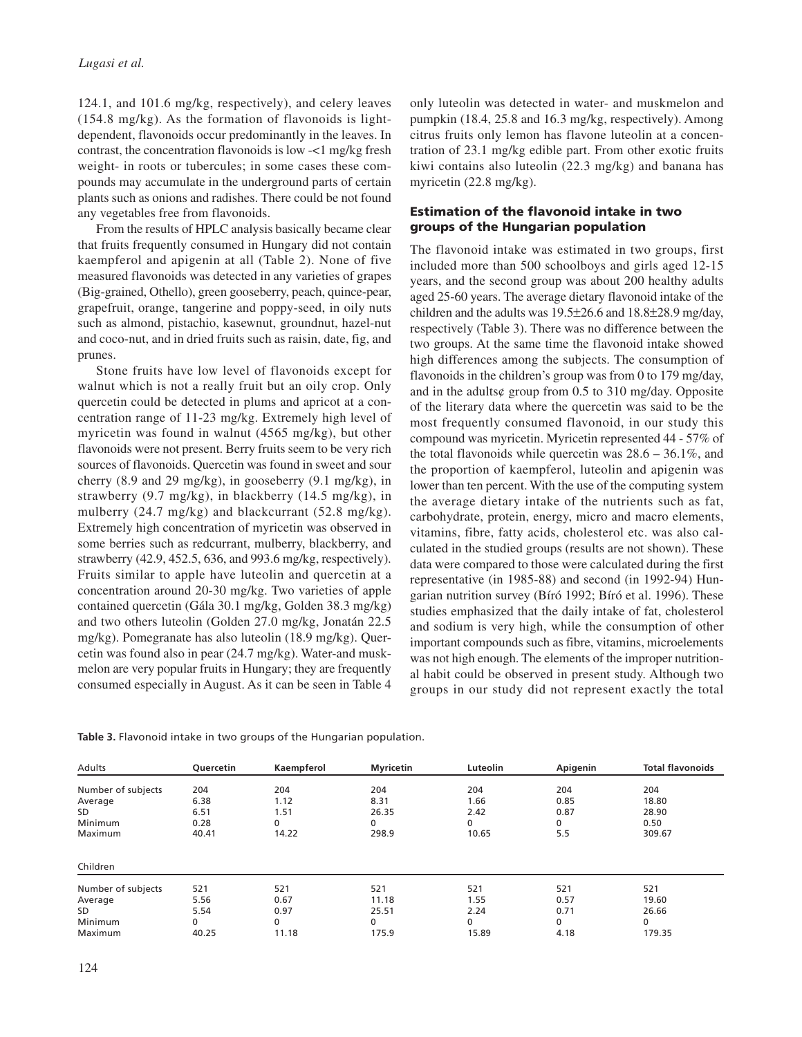124.1, and 101.6 mg/kg, respectively), and celery leaves (154.8 mg/kg). As the formation of flavonoids is lightdependent, flavonoids occur predominantly in the leaves. In contrast, the concentration flavonoids is low -<1 mg/kg fresh weight- in roots or tubercules; in some cases these compounds may accumulate in the underground parts of certain plants such as onions and radishes. There could be not found any vegetables free from flavonoids.

From the results of HPLC analysis basically became clear that fruits frequently consumed in Hungary did not contain kaempferol and apigenin at all (Table 2). None of five measured flavonoids was detected in any varieties of grapes (Big-grained, Othello), green gooseberry, peach, quince-pear, grapefruit, orange, tangerine and poppy-seed, in oily nuts such as almond, pistachio, kasewnut, groundnut, hazel-nut and coco-nut, and in dried fruits such as raisin, date, fig, and prunes.

Stone fruits have low level of flavonoids except for walnut which is not a really fruit but an oily crop. Only quercetin could be detected in plums and apricot at a concentration range of 11-23 mg/kg. Extremely high level of myricetin was found in walnut (4565 mg/kg), but other flavonoids were not present. Berry fruits seem to be very rich sources of flavonoids. Quercetin was found in sweet and sour cherry (8.9 and 29 mg/kg), in gooseberry (9.1 mg/kg), in strawberry (9.7 mg/kg), in blackberry (14.5 mg/kg), in mulberry (24.7 mg/kg) and blackcurrant (52.8 mg/kg). Extremely high concentration of myricetin was observed in some berries such as redcurrant, mulberry, blackberry, and strawberry (42.9, 452.5, 636, and 993.6 mg/kg, respectively). Fruits similar to apple have luteolin and quercetin at a concentration around 20-30 mg/kg. Two varieties of apple contained quercetin (Gála 30.1 mg/kg, Golden 38.3 mg/kg) and two others luteolin (Golden 27.0 mg/kg, Jonatán 22.5 mg/kg). Pomegranate has also luteolin (18.9 mg/kg). Quercetin was found also in pear (24.7 mg/kg). Water-and muskmelon are very popular fruits in Hungary; they are frequently consumed especially in August. As it can be seen in Table 4

only luteolin was detected in water- and muskmelon and pumpkin (18.4, 25.8 and 16.3 mg/kg, respectively). Among citrus fruits only lemon has flavone luteolin at a concentration of 23.1 mg/kg edible part. From other exotic fruits kiwi contains also luteolin (22.3 mg/kg) and banana has myricetin (22.8 mg/kg).

# Estimation of the flavonoid intake in two groups of the Hungarian population

The flavonoid intake was estimated in two groups, first included more than 500 schoolboys and girls aged 12-15 years, and the second group was about 200 healthy adults aged 25-60 years. The average dietary flavonoid intake of the children and the adults was 19.5±26.6 and 18.8±28.9 mg/day, respectively (Table 3). There was no difference between the two groups. At the same time the flavonoid intake showed high differences among the subjects. The consumption of flavonoids in the children's group was from 0 to 179 mg/day, and in the adults¢ group from 0.5 to 310 mg/day. Opposite of the literary data where the quercetin was said to be the most frequently consumed flavonoid, in our study this compound was myricetin. Myricetin represented 44 - 57% of the total flavonoids while quercetin was  $28.6 - 36.1\%$ , and the proportion of kaempferol, luteolin and apigenin was lower than ten percent. With the use of the computing system the average dietary intake of the nutrients such as fat, carbohydrate, protein, energy, micro and macro elements, vitamins, fibre, fatty acids, cholesterol etc. was also calculated in the studied groups (results are not shown). These data were compared to those were calculated during the first representative (in 1985-88) and second (in 1992-94) Hungarian nutrition survey (Bíró 1992; Bíró et al. 1996). These studies emphasized that the daily intake of fat, cholesterol and sodium is very high, while the consumption of other important compounds such as fibre, vitamins, microelements was not high enough. The elements of the improper nutritional habit could be observed in present study. Although two groups in our study did not represent exactly the total

| Adults             | Quercetin | Kaempferol | <b>Myricetin</b> | Luteolin | Apigenin     | <b>Total flavonoids</b> |
|--------------------|-----------|------------|------------------|----------|--------------|-------------------------|
| Number of subjects | 204       | 204        | 204              | 204      | 204          | 204                     |
| Average            | 6.38      | 1.12       | 8.31             | 1.66     | 0.85         | 18.80                   |
| SD.                | 6.51      | 1.51       | 26.35            | 2.42     | 0.87         | 28.90                   |
| Minimum            | 0.28      | 0          | 0                | 0        | 0            | 0.50                    |
| Maximum            | 40.41     | 14.22      | 298.9            | 10.65    | 5.5          | 309.67                  |
| Children           |           |            |                  |          |              |                         |
| Number of subjects | 521       | 521        | 521              | 521      | 521          | 521                     |
| Average            | 5.56      | 0.67       | 11.18            | 1.55     | 0.57         | 19.60                   |
| SD.                | 5.54      | 0.97       | 25.51            | 2.24     | 0.71         | 26.66                   |
| Minimum            | 0         | 0          | 0                | 0        | $\mathbf{0}$ | 0                       |
| Maximum            | 40.25     | 11.18      | 175.9            | 15.89    | 4.18         | 179.35                  |

**Table 3.** Flavonoid intake in two groups of the Hungarian population.